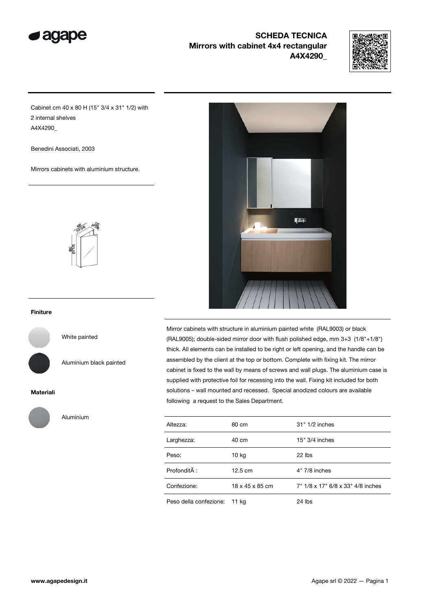

## SCHEDA TECNICA Mirrors with cabinet 4x4 rectangular A4X4290\_



Cabinet cm 40 x 80 H (15" 3/4 x 31" 1/2) with 2 internal shelves A4X4290\_

Benedini Associati, 2003

Mirrors cabinets with aluminium structure.



#### Finiture

White painted

Aluminium black painted

### Materiali



Aluminium



Mirror cabinets with structure in aluminium painted white (RAL9003) or black (RAL9005); double-sided mirror door with flush polished edge, mm 3+3 (1/8"+1/8") thick. All elements can be installed to be right or left opening, and the handle can be assembled by the client at the top or bottom. Complete with fixing kit. The mirror cabinet is fixed to the wall by means of screws and wall plugs. The aluminium case is supplied with protective foil for recessing into the wall. Fixing kit included for both solutions – wall mounted and recessed. Special anodized colours are available following a request to the Sales Department.

| Altezza:               | 80 cm             | 31" 1/2 inches                    |
|------------------------|-------------------|-----------------------------------|
| Larghezza:             | 40 cm             | 15" 3/4 inches                    |
| Peso:                  | 10 kg             | $22$ lbs                          |
| Profondità :           | $12.5 \text{ cm}$ | 4" 7/8 inches                     |
| Confezione:            | 18 x 45 x 85 cm   | 7" 1/8 x 17" 6/8 x 33" 4/8 inches |
| Peso della confezione: | 11 kg             | 24 lbs                            |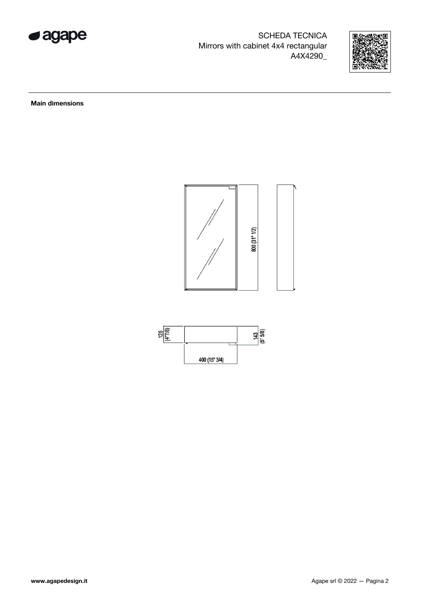

SCHEDA TECNICA Mirrors with cabinet 4x4 rectangular A4X4290\_



Main dimensions